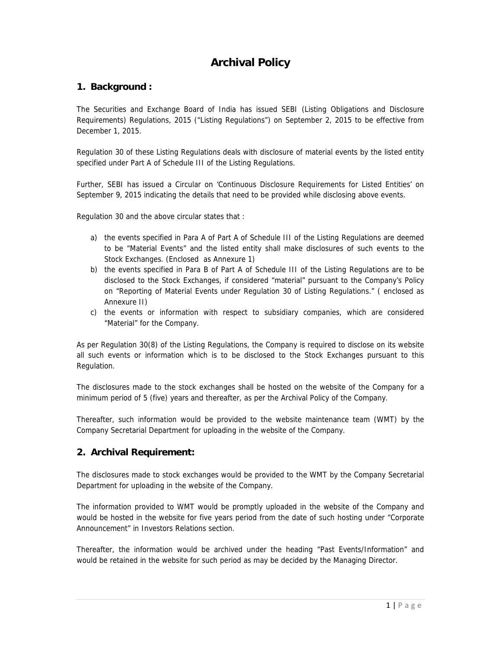# **Archival Policy**

## **1. Background :**

The Securities and Exchange Board of India has issued SEBI (Listing Obligations and Disclosure Requirements) Regulations, 2015 ("Listing Regulations") on September 2, 2015 to be effective from December 1, 2015.

Regulation 30 of these Listing Regulations deals with disclosure of material events by the listed entity specified under Part A of Schedule III of the Listing Regulations.

Further, SEBI has issued a Circular on 'Continuous Disclosure Requirements for Listed Entities' on September 9, 2015 indicating the details that need to be provided while disclosing above events.

Regulation 30 and the above circular states that :

- a) the events specified in Para A of Part A of Schedule III of the Listing Regulations are deemed to be "Material Events" and the listed entity shall make disclosures of such events to the Stock Exchanges. (Enclosed as Annexure 1)
- b) the events specified in Para B of Part A of Schedule III of the Listing Regulations are to be disclosed to the Stock Exchanges, if considered "material" pursuant to the Company's Policy on "Reporting of Material Events under Regulation 30 of Listing Regulations." ( enclosed as Annexure II)
- c) the events or information with respect to subsidiary companies, which are considered "Material" for the Company.

As per Regulation 30(8) of the Listing Regulations, the Company is required to disclose on its website all such events or information which is to be disclosed to the Stock Exchanges pursuant to this Regulation.

The disclosures made to the stock exchanges shall be hosted on the website of the Company for a minimum period of 5 (five) years and thereafter, as per the Archival Policy of the Company.

Thereafter, such information would be provided to the website maintenance team (WMT) by the Company Secretarial Department for uploading in the website of the Company.

### **2. Archival Requirement:**

The disclosures made to stock exchanges would be provided to the WMT by the Company Secretarial Department for uploading in the website of the Company.

The information provided to WMT would be promptly uploaded in the website of the Company and would be hosted in the website for five years period from the date of such hosting under "Corporate Announcement" in Investors Relations section.

Thereafter, the information would be archived under the heading "Past Events/Information" and would be retained in the website for such period as may be decided by the Managing Director.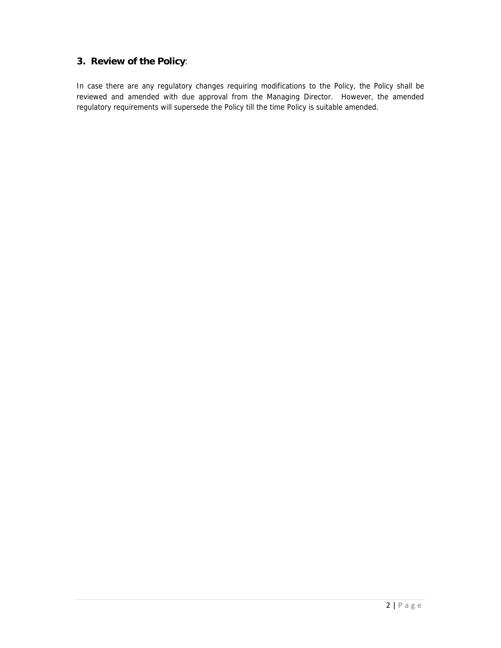# **3. Review of the Policy**:

In case there are any regulatory changes requiring modifications to the Policy, the Policy shall be reviewed and amended with due approval from the Managing Director. However, the amended regulatory requirements will supersede the Policy till the time Policy is suitable amended.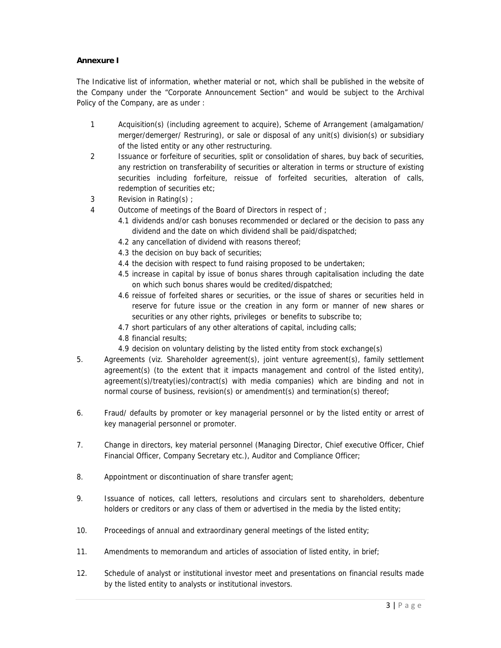### **Annexure I**

The Indicative list of information, whether material or not, which shall be published in the website of the Company under the "Corporate Announcement Section" and would be subject to the Archival Policy of the Company, are as under :

- 1 Acquisition(s) (including agreement to acquire), Scheme of Arrangement (amalgamation/ merger/demerger/ Restruring), or sale or disposal of any unit(s) division(s) or subsidiary of the listed entity or any other restructuring.
- 2 Issuance or forfeiture of securities, split or consolidation of shares, buy back of securities, any restriction on transferability of securities or alteration in terms or structure of existing securities including forfeiture, reissue of forfeited securities, alteration of calls, redemption of securities etc;
- 3 Revision in Rating(s) ;
- 4 Outcome of meetings of the Board of Directors in respect of ;
	- 4.1 dividends and/or cash bonuses recommended or declared or the decision to pass any dividend and the date on which dividend shall be paid/dispatched;
	- 4.2 any cancellation of dividend with reasons thereof;
	- 4.3 the decision on buy back of securities;
	- 4.4 the decision with respect to fund raising proposed to be undertaken;
	- 4.5 increase in capital by issue of bonus shares through capitalisation including the date on which such bonus shares would be credited/dispatched;
	- 4.6 reissue of forfeited shares or securities, or the issue of shares or securities held in reserve for future issue or the creation in any form or manner of new shares or securities or any other rights, privileges or benefits to subscribe to;
	- 4.7 short particulars of any other alterations of capital, including calls;
	- 4.8 financial results;
	- 4.9 decision on voluntary delisting by the listed entity from stock exchange(s)
- 5. Agreements (viz. Shareholder agreement(s), joint venture agreement(s), family settlement agreement(s) (to the extent that it impacts management and control of the listed entity), agreement(s)/treaty(ies)/contract(s) with media companies) which are binding and not in normal course of business, revision(s) or amendment(s) and termination(s) thereof;
- 6. Fraud/ defaults by promoter or key managerial personnel or by the listed entity or arrest of key managerial personnel or promoter.
- 7. Change in directors, key material personnel (Managing Director, Chief executive Officer, Chief Financial Officer, Company Secretary etc.), Auditor and Compliance Officer;
- 8. Appointment or discontinuation of share transfer agent;
- 9. Issuance of notices, call letters, resolutions and circulars sent to shareholders, debenture holders or creditors or any class of them or advertised in the media by the listed entity;
- 10. Proceedings of annual and extraordinary general meetings of the listed entity;
- 11. Amendments to memorandum and articles of association of listed entity, in brief;
- 12. Schedule of analyst or institutional investor meet and presentations on financial results made by the listed entity to analysts or institutional investors.